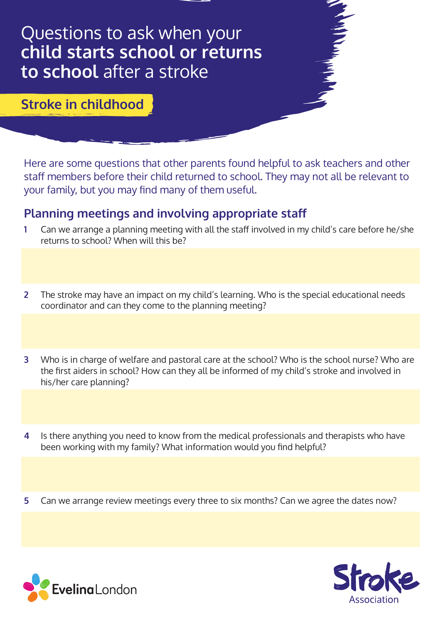# Questions to ask when your **child starts school or returns to school** after a stroke

### **Stroke in childhood**

Here are some questions that other parents found helpful to ask teachers and other staff members before their child returned to school. They may not all be relevant to your family, but you may find many of them useful.

#### **Planning meetings and involving appropriate staff**

- **1** Can we arrange a planning meeting with all the staff involved in my child's care before he/she returns to school? When will this be?
- **2** The stroke may have an impact on my child's learning. Who is the special educational needs coordinator and can they come to the planning meeting?
- **3** Who is in charge of welfare and pastoral care at the school? Who is the school nurse? Who are the first aiders in school? How can they all be informed of my child's stroke and involved in his/her care planning?
- **4** Is there anything you need to know from the medical professionals and therapists who have been working with my family? What information would you find helpful?
- **5** Can we arrange review meetings every three to six months? Can we agree the dates now?



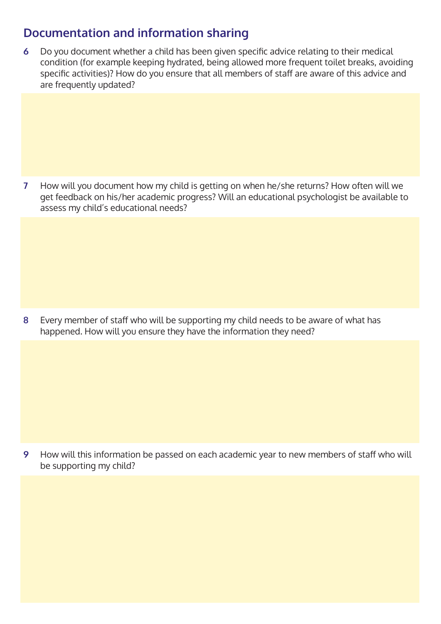## **Documentation and information sharing**

**6** Do you document whether a child has been given specific advice relating to their medical condition (for example keeping hydrated, being allowed more frequent toilet breaks, avoiding specific activities)? How do you ensure that all members of staff are aware of this advice and are frequently updated?

**7** How will you document how my child is getting on when he/she returns? How often will we get feedback on his/her academic progress? Will an educational psychologist be available to assess my child's educational needs?

**8** Every member of staff who will be supporting my child needs to be aware of what has happened. How will you ensure they have the information they need?

**9** How will this information be passed on each academic year to new members of staff who will be supporting my child?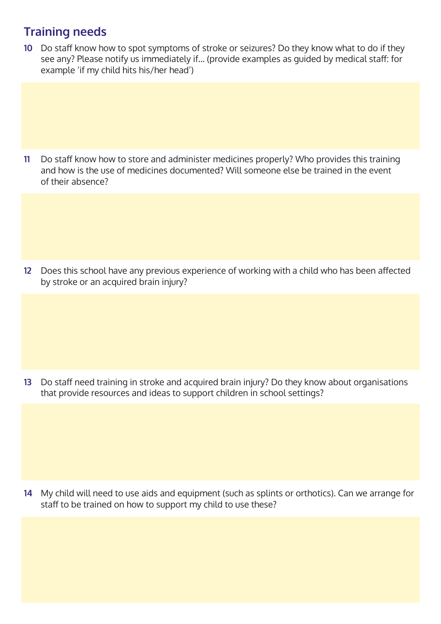## **Training needs**

**10** Do staff know how to spot symptoms of stroke or seizures? Do they know what to do if they see any? Please notify us immediately if… (provide examples as guided by medical staff: for example 'if my child hits his/her head')

**11** Do staff know how to store and administer medicines properly? Who provides this training and how is the use of medicines documented? Will someone else be trained in the event of their absence?

**12** Does this school have any previous experience of working with a child who has been affected by stroke or an acquired brain injury?

**13** Do staff need training in stroke and acquired brain injury? Do they know about organisations that provide resources and ideas to support children in school settings?

**14** My child will need to use aids and equipment (such as splints or orthotics). Can we arrange for staff to be trained on how to support my child to use these?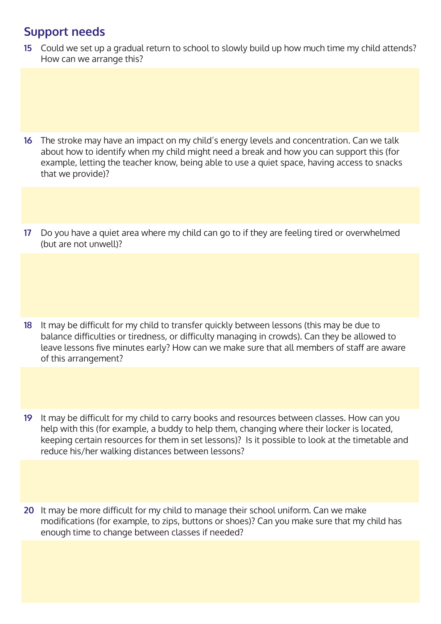#### **Support needs**

**15** Could we set up a gradual return to school to slowly build up how much time my child attends? How can we arrange this?

- **16** The stroke may have an impact on my child's energy levels and concentration. Can we talk about how to identify when my child might need a break and how you can support this (for example, letting the teacher know, being able to use a quiet space, having access to snacks that we provide)?
- **17** Do you have a quiet area where my child can go to if they are feeling tired or overwhelmed (but are not unwell)?

- **18** It may be difficult for my child to transfer quickly between lessons (this may be due to balance difficulties or tiredness, or difficulty managing in crowds). Can they be allowed to leave lessons five minutes early? How can we make sure that all members of staff are aware of this arrangement?
- **19** It may be difficult for my child to carry books and resources between classes. How can you help with this (for example, a buddy to help them, changing where their locker is located, keeping certain resources for them in set lessons)? Is it possible to look at the timetable and reduce his/her walking distances between lessons?
- **20** It may be more difficult for my child to manage their school uniform. Can we make modifications (for example, to zips, buttons or shoes)? Can you make sure that my child has enough time to change between classes if needed?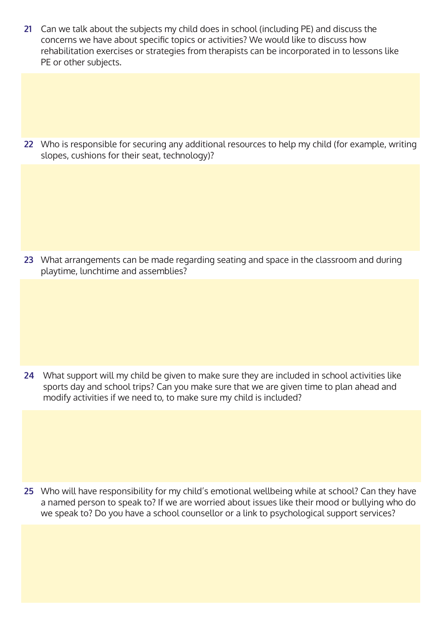**21** Can we talk about the subjects my child does in school (including PE) and discuss the concerns we have about specific topics or activities? We would like to discuss how rehabilitation exercises or strategies from therapists can be incorporated in to lessons like PE or other subjects.

**22** Who is responsible for securing any additional resources to help my child (for example, writing slopes, cushions for their seat, technology)?

**23** What arrangements can be made regarding seating and space in the classroom and during playtime, lunchtime and assemblies?

**24** What support will my child be given to make sure they are included in school activities like sports day and school trips? Can you make sure that we are given time to plan ahead and modify activities if we need to, to make sure my child is included?

**25** Who will have responsibility for my child's emotional wellbeing while at school? Can they have a named person to speak to? If we are worried about issues like their mood or bullying who do we speak to? Do you have a school counsellor or a link to psychological support services?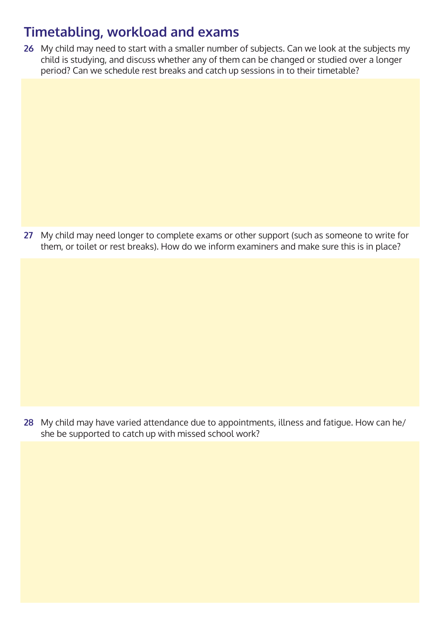# **Timetabling, workload and exams**

**26** My child may need to start with a smaller number of subjects. Can we look at the subjects my child is studying, and discuss whether any of them can be changed or studied over a longer period? Can we schedule rest breaks and catch up sessions in to their timetable?

**27** My child may need longer to complete exams or other support (such as someone to write for them, or toilet or rest breaks). How do we inform examiners and make sure this is in place?

**28** My child may have varied attendance due to appointments, illness and fatigue. How can he/ she be supported to catch up with missed school work?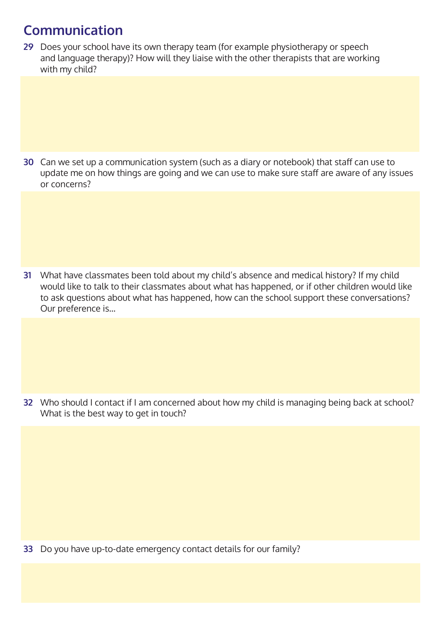# **Communication**

**29** Does your school have its own therapy team (for example physiotherapy or speech and language therapy)? How will they liaise with the other therapists that are working with my child?

**30** Can we set up a communication system (such as a diary or notebook) that staff can use to update me on how things are going and we can use to make sure staff are aware of any issues or concerns?

**31** What have classmates been told about my child's absence and medical history? If my child would like to talk to their classmates about what has happened, or if other children would like to ask questions about what has happened, how can the school support these conversations? Our preference is…

**32** Who should I contact if I am concerned about how my child is managing being back at school? What is the best way to get in touch?

**33** Do you have up-to-date emergency contact details for our family?